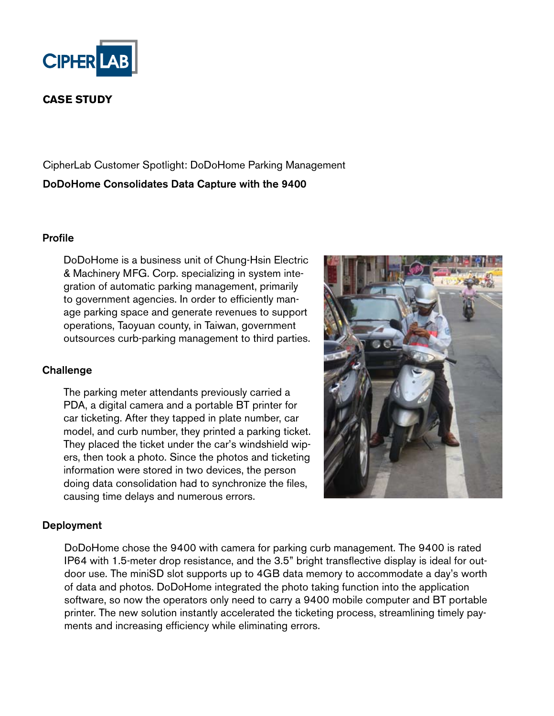

# **CASE STUDY**

CipherLab Customer Spotlight: DoDoHome Parking Management DoDoHome Consolidates Data Capture with the 9400

#### Profile

DoDoHome is a business unit of Chung-Hsin Electric & Machinery MFG. Corp. specializing in system integration of automatic parking management, primarily to government agencies. In order to efficiently manage parking space and generate revenues to support operations, Taoyuan county, in Taiwan, government outsources curb-parking management to third parties.

### **Challenge**

The parking meter attendants previously carried a PDA, a digital camera and a portable BT printer for car ticketing. After they tapped in plate number, car model, and curb number, they printed a parking ticket. They placed the ticket under the car's windshield wipers, then took a photo. Since the photos and ticketing information were stored in two devices, the person doing data consolidation had to synchronize the files, causing time delays and numerous errors.



### Deployment

DoDoHome chose the 9400 with camera for parking curb management. The 9400 is rated IP64 with 1.5-meter drop resistance, and the 3.5" bright transflective display is ideal for outdoor use. The miniSD slot supports up to 4GB data memory to accommodate a day's worth of data and photos. DoDoHome integrated the photo taking function into the application software, so now the operators only need to carry a 9400 mobile computer and BT portable printer. The new solution instantly accelerated the ticketing process, streamlining timely payments and increasing efficiency while eliminating errors.